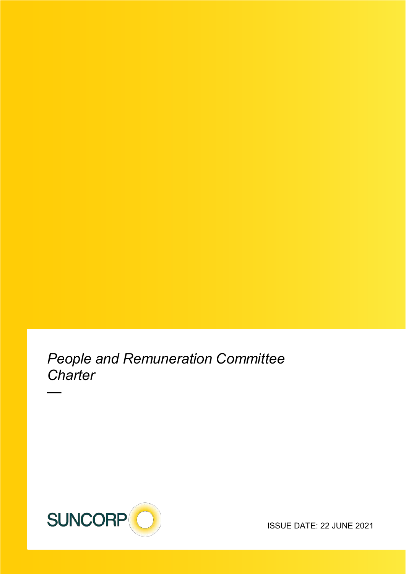*People and Remuneration Committee Charter*



—

ISSUE DATE: 22 JUNE 2021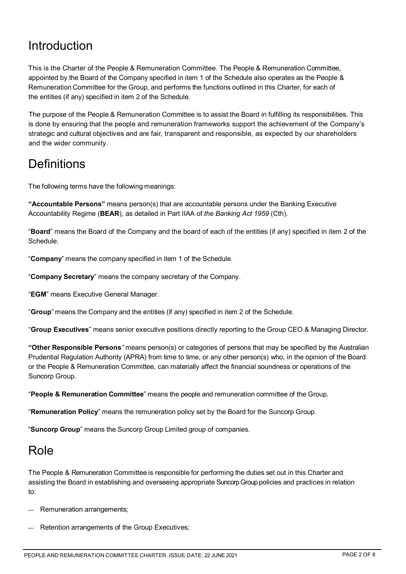# Introduction

This is the Charter of the People & Remuneration Committee. The People & Remuneration Committee, appointed by the Board of the Company specified in item 1 of the Schedule also operates as the People & Remuneration Committee for the Group, and performs the functions outlined in this Charter, for each of the entities (if any) specified in item 2 of the Schedule.

The purpose of the People & Remuneration Committee is to assist the Board in fulfilling its responsibilities. This is done by ensuring that the people and remuneration frameworks support the achievement of the Company's strategic and cultural objectives and are fair, transparent and responsible, as expected by our shareholders and the wider community.

# **Definitions**

The following terms have the following meanings:

**"Accountable Persons"** means person(s) that are accountable persons under the Banking Executive Accountability Regime (**BEAR**), as detailed in Part IIAA of *the Banking Act 1959* (Cth).

"**Board**" means the Board of the Company and the board of each of the entities (if any) specified in item 2 of the Schedule.

"**Company**" means the company specified in item 1 of the Schedule.

"**Company Secretary**" means the company secretary of the Company.

"**EGM**" means Executive General Manager.

"**Group**" means the Company and the entities (if any) specified in item 2 of the Schedule.

"**Group Executives**" means senior executive positions directly reporting to the Group CEO & Managing Director*.*

**"Other Responsible Persons***"* means person(s) or categories of persons that may be specified by the Australian Prudential Regulation Authority (APRA) from time to time, or any other person(s) who, in the opinion of the Board or the People & Remuneration Committee, can materially affect the financial soundness or operations of the Suncorp Group.

"**People & Remuneration Committee**" means the people and remuneration committee of the Group.

"**Remuneration Policy**" means the remuneration policy set by the Board for the Suncorp Group.

"**Suncorp Group**" means the Suncorp Group Limited group of companies.

## Role

The People & Remuneration Committee is responsible for performing the duties set out in this Charter and assisting the Board in establishing and overseeing appropriate SuncorpGrouppolicies and practices in relation to:

- Remuneration arrangements;
- Retention arrangements of the Group Executives;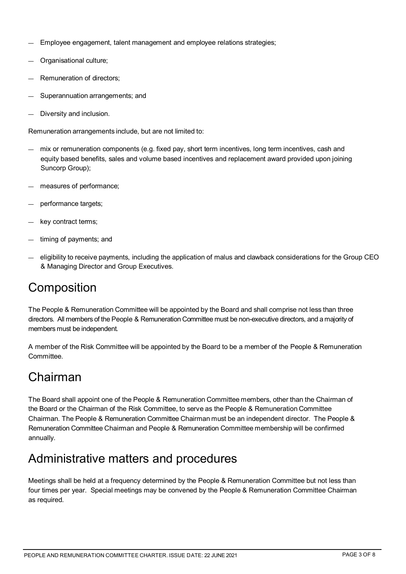- Employee engagement, talent management and employee relations strategies;
- Organisational culture;
- Remuneration of directors;
- Superannuation arrangements; and
- Diversity and inclusion.

Remuneration arrangements include, but are not limited to:

- mix or remuneration components (e.g. fixed pay, short term incentives, long term incentives, cash and equity based benefits, sales and volume based incentives and replacement award provided upon joining Suncorp Group);
- measures of performance;
- performance targets;
- key contract terms:
- timing of payments; and
- eligibility to receive payments, including the application of malus and clawback considerations for the Group CEO & Managing Director and Group Executives.

## **Composition**

The People & Remuneration Committee will be appointed by the Board and shall comprise not less than three directors. All members of the People & Remuneration Committee must be non-executive directors, and a majority of members must be independent.

A member of the Risk Committee will be appointed by the Board to be a member of the People & Remuneration Committee.

## Chairman

The Board shall appoint one of the People & Remuneration Committee members, other than the Chairman of the Board or the Chairman of the Risk Committee, to serve as the People & Remuneration Committee Chairman. The People & Remuneration Committee Chairman must be an independent director. The People & Remuneration Committee Chairman and People & Remuneration Committee membership will be confirmed annually.

## Administrative matters and procedures

Meetings shall be held at a frequency determined by the People & Remuneration Committee but not less than four times per year. Special meetings may be convened by the People & Remuneration Committee Chairman as required.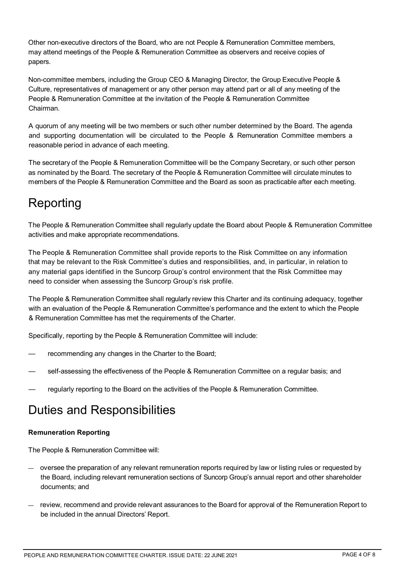Other non-executive directors of the Board, who are not People & Remuneration Committee members, may attend meetings of the People & Remuneration Committee as observers and receive copies of papers.

Non-committee members, including the Group CEO & Managing Director, the Group Executive People & Culture, representatives of management or any other person may attend part or all of any meeting of the People & Remuneration Committee at the invitation of the People & Remuneration Committee Chairman.

A quorum of any meeting will be two members or such other number determined by the Board. The agenda and supporting documentation will be circulated to the People & Remuneration Committee members a reasonable period in advance of each meeting.

The secretary of the People & Remuneration Committee will be the Company Secretary, or such other person as nominated by the Board. The secretary of the People & Remuneration Committee will circulate minutes to members of the People & Remuneration Committee and the Board as soon as practicable after each meeting.

# Reporting

The People & Remuneration Committee shall regularly update the Board about People & Remuneration Committee activities and make appropriate recommendations.

The People & Remuneration Committee shall provide reports to the Risk Committee on any information that may be relevant to the Risk Committee's duties and responsibilities, and, in particular, in relation to any material gaps identified in the Suncorp Group's control environment that the Risk Committee may need to consider when assessing the Suncorp Group's risk profile.

The People & Remuneration Committee shall regularly review this Charter and its continuing adequacy, together with an evaluation of the People & Remuneration Committee's performance and the extent to which the People & Remuneration Committee has met the requirements of the Charter.

Specifically, reporting by the People & Remuneration Committee will include:

- recommending any changes in the Charter to the Board;
- self-assessing the effectiveness of the People & Remuneration Committee on a regular basis; and
- regularly reporting to the Board on the activities of the People & Remuneration Committee.

## Duties and Responsibilities

### **Remuneration Reporting**

The People & Remuneration Committee will:

- oversee the preparation of any relevant remuneration reports required by law or listing rules or requested by the Board, including relevant remuneration sections of Suncorp Group's annual report and other shareholder documents; and
- review, recommend and provide relevant assurances to the Board for approval of the Remuneration Report to be included in the annual Directors' Report.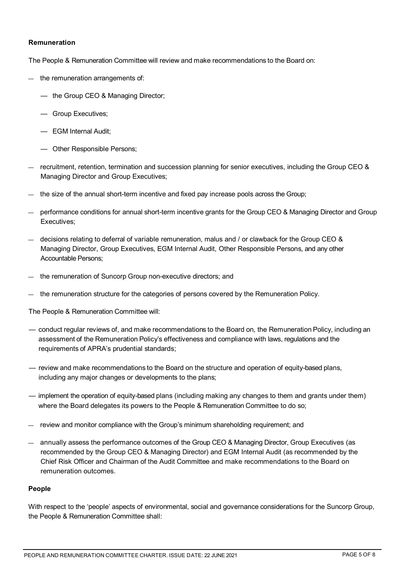#### **Remuneration**

The People & Remuneration Committee will review and make recommendations to the Board on:

- the remuneration arrangements of:
	- the Group CEO & Managing Director;
	- Group Executives;
	- EGM Internal Audit;
	- Other Responsible Persons;
- recruitment, retention, termination and succession planning for senior executives, including the Group CEO & Managing Director and Group Executives;
- the size of the annual short-term incentive and fixed pay increase pools across the Group;
- performance conditions for annual short-term incentive grants for the Group CEO & Managing Director and Group Executives;
- $-$  decisions relating to deferral of variable remuneration, malus and / or clawback for the Group CEO & Managing Director, Group Executives, EGM Internal Audit, Other Responsible Persons, and any other Accountable Persons;
- the remuneration of Suncorp Group non-executive directors; and
- the remuneration structure for the categories of persons covered by the Remuneration Policy.

The People & Remuneration Committee will:

- conduct regular reviews of, and make recommendations to the Board on, the Remuneration Policy, including an assessment of the Remuneration Policy's effectiveness and compliance with laws, regulations and the requirements of APRA's prudential standards;
- review and make recommendations to the Board on the structure and operation of equity-based plans, including any major changes or developments to the plans;
- implement the operation of equity-based plans (including making any changes to them and grants under them) where the Board delegates its powers to the People & Remuneration Committee to do so;
- review and monitor compliance with the Group's minimum shareholding requirement; and
- annually assess the performance outcomes of the Group CEO & Managing Director, Group Executives (as recommended by the Group CEO & Managing Director) and EGM Internal Audit (as recommended by the Chief Risk Officer and Chairman of the Audit Committee and make recommendations to the Board on remuneration outcomes.

### **People**

With respect to the 'people' aspects of environmental, social and governance considerations for the Suncorp Group, the People & Remuneration Committee shall: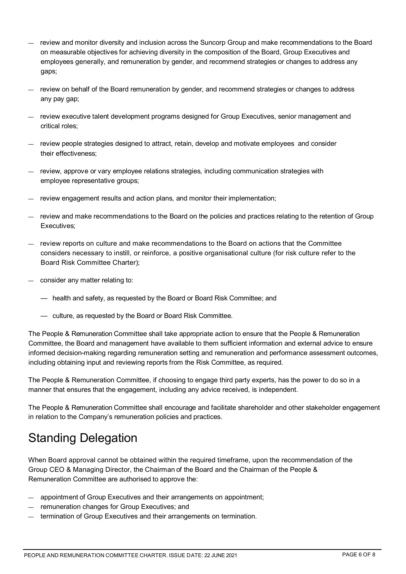- review and monitor diversity and inclusion across the Suncorp Group and make recommendations to the Board on measurable objectives for achieving diversity in the composition of the Board, Group Executives and employees generally, and remuneration by gender, and recommend strategies or changes to address any gaps;
- review on behalf of the Board remuneration by gender, and recommend strategies or changes to address any pay gap;
- review executive talent development programs designed for Group Executives, senior management and critical roles;
- review people strategies designed to attract, retain, develop and motivate employees and consider their effectiveness;
- review, approve or vary employee relations strategies, including communication strategies with employee representative groups;
- review engagement results and action plans, and monitor their implementation;
- review and make recommendations to the Board on the policies and practices relating to the retention of Group Executives;
- review reports on culture and make recommendations to the Board on actions that the Committee considers necessary to instill, or reinforce, a positive organisational culture (for risk culture refer to the Board Risk Committee Charter);
- consider any matter relating to:
	- health and safety, as requested by the Board or Board Risk Committee; and
	- culture, as requested by the Board or Board Risk Committee.

The People & Remuneration Committee shall take appropriate action to ensure that the People & Remuneration Committee, the Board and management have available to them sufficient information and external advice to ensure informed decision-making regarding remuneration setting and remuneration and performance assessment outcomes, including obtaining input and reviewing reports from the Risk Committee, as required.

The People & Remuneration Committee, if choosing to engage third party experts, has the power to do so in a manner that ensures that the engagement, including any advice received, is independent.

The People & Remuneration Committee shall encourage and facilitate shareholder and other stakeholder engagement in relation to the Company's remuneration policies and practices.

# Standing Delegation

When Board approval cannot be obtained within the required timeframe, upon the recommendation of the Group CEO & Managing Director, the Chairman of the Board and the Chairman of the People & Remuneration Committee are authorised to approve the:

- appointment of Group Executives and their arrangements on appointment;
- remuneration changes for Group Executives; and
- termination of Group Executives and their arrangements on termination.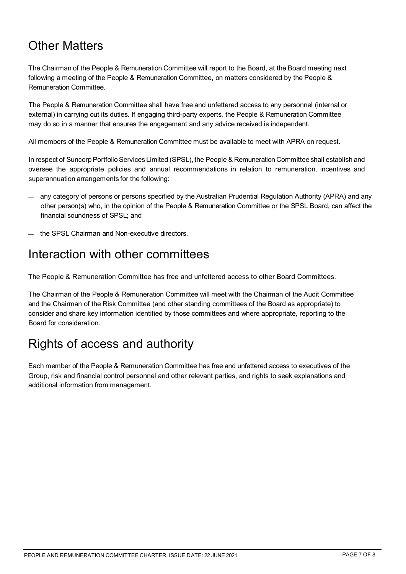# Other Matters

The Chairman of the People & Remuneration Committee will report to the Board, at the Board meeting next following a meeting of the People & Remuneration Committee, on matters considered by the People & Remuneration Committee.

The People & Remuneration Committee shall have free and unfettered access to any personnel (internal or external) in carrying out its duties. If engaging third-party experts, the People & Remuneration Committee may do so in a manner that ensures the engagement and any advice received is independent.

All members of the People & Remuneration Committee must be available to meet with APRA on request.

In respect of Suncorp Portfolio Services Limited (SPSL), the People & Remuneration Committee shall establish and oversee the appropriate policies and annual recommendations in relation to remuneration, incentives and superannuation arrangements for the following:

- any category of persons or persons specified by the Australian Prudential Regulation Authority (APRA) and any other person(s) who, in the opinion of the People & Remuneration Committee or the SPSL Board, can affect the financial soundness of SPSL; and
- the SPSL Chairman and Non-executive directors.

### Interaction with other committees

The People & Remuneration Committee has free and unfettered access to other Board Committees.

The Chairman of the People & Remuneration Committee will meet with the Chairman of the Audit Committee and the Chairman of the Risk Committee (and other standing committees of the Board as appropriate) to consider and share key information identified by those committees and where appropriate, reporting to the Board for consideration.

# Rights of access and authority

Each member of the People & Remuneration Committee has free and unfettered access to executives of the Group, risk and financial control personnel and other relevant parties, and rights to seek explanations and additional information from management.